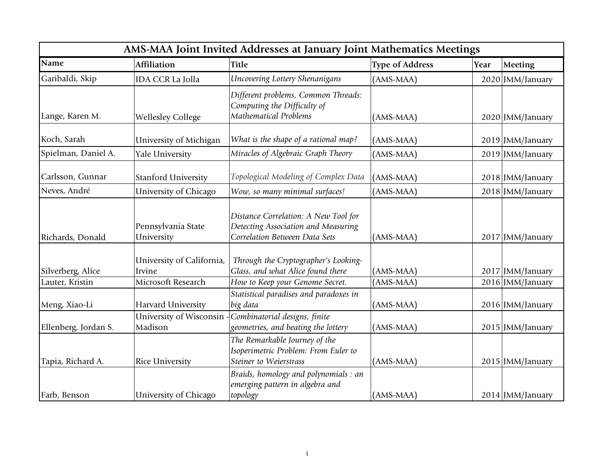| AMS-MAA Joint Invited Addresses at January Joint Mathematics Meetings |                                     |                                                                                                              |                        |      |                  |
|-----------------------------------------------------------------------|-------------------------------------|--------------------------------------------------------------------------------------------------------------|------------------------|------|------------------|
| <b>Name</b>                                                           | <b>Affiliation</b>                  | <b>Title</b>                                                                                                 | <b>Type of Address</b> | Year | Meeting          |
| Garibaldi, Skip                                                       | <b>IDA CCR La Jolla</b>             | Uncovering Lottery Shenanigans                                                                               | (AMS-MAA)              |      | 2020 JMM/January |
| Lange, Karen M.                                                       | <b>Wellesley College</b>            | Different problems, Common Threads:<br>Computing the Difficulty of<br><b>Mathematical Problems</b>           | (AMS-MAA)              |      | 2020 JMM/January |
| Koch, Sarah                                                           | University of Michigan              | What is the shape of a rational map?                                                                         | $(AMS-MAA)$            |      | 2019 JMM/January |
| Spielman, Daniel A.                                                   | <b>Yale University</b>              | Miracles of Algebraic Graph Theory                                                                           | (AMS-MAA)              |      | 2019 JMM/January |
| Carlsson, Gunnar                                                      | <b>Stanford University</b>          | Topological Modeling of Complex Data                                                                         | (AMS-MAA)              |      | 2018 JMM/January |
| Neves, André                                                          | University of Chicago               | Wow, so many minimal surfaces!                                                                               | (AMS-MAA)              |      | 2018 JMM/January |
| Richards, Donald                                                      | Pennsylvania State<br>University    | Distance Correlation: A New Tool for<br>Detecting Association and Measuring<br>Correlation Between Data Sets | $(AMS-MAA)$            |      | 2017 JMM/January |
| Silverberg, Alice                                                     | University of California,<br>Irvine | Through the Cryptographer's Looking-<br>Glass, and what Alice found there                                    | (AMS-MAA)              |      | 2017 JMM/January |
| Lauter, Kristin                                                       | Microsoft Research                  | How to Keep your Genome Secret.                                                                              | (AMS-MAA)              |      | 2016 JMM/January |
| Meng, Xiao-Li                                                         | Harvard University                  | Statistical paradises and paradoxes in<br>big data                                                           | (AMS-MAA)              |      | 2016 JMM/January |
| Ellenberg, Jordan S.                                                  | University of Wisconsin<br>Madison  | Combinatorial designs, finite<br>geometries, and beating the lottery                                         | (AMS-MAA)              |      | 2015 JMM/January |
| Tapia, Richard A.                                                     | Rice University                     | The Remarkable Journey of the<br>Isoperimetric Problem: From Euler to<br>Steiner to Weierstrass              | (AMS-MAA)              |      | 2015 JMM/January |
| Farb, Benson                                                          | University of Chicago               | Braids, homology and polynomials : an<br>emerging pattern in algebra and<br>topology                         | (AMS-MAA)              |      | 2014 JMM/January |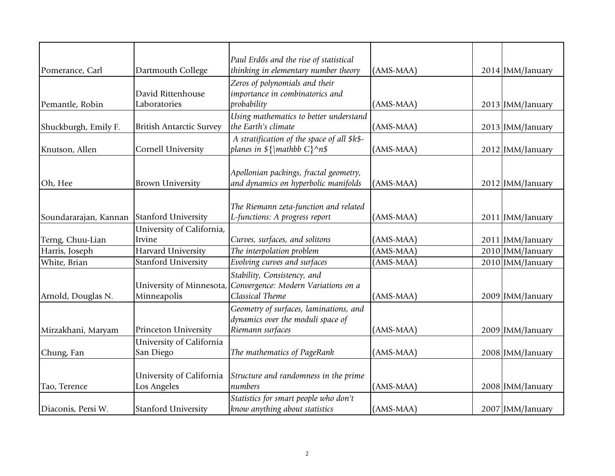|                       |                                 | Paul Erdős and the rise of statistical                       |             |                  |
|-----------------------|---------------------------------|--------------------------------------------------------------|-------------|------------------|
| Pomerance, Carl       | Dartmouth College               | thinking in elementary number theory                         | $(AMS-MAA)$ | 2014 JMM/January |
|                       |                                 | Zeros of polynomials and their                               |             |                  |
|                       | David Rittenhouse               | importance in combinatorics and                              |             |                  |
| Pemantle, Robin       | Laboratories                    | probability                                                  | (AMS-MAA)   | 2013 JMM/January |
|                       |                                 | Using mathematics to better understand                       |             |                  |
| Shuckburgh, Emily F.  | <b>British Antarctic Survey</b> | the Earth's climate                                          | $(AMS-MAA)$ | 2013 JMM/January |
|                       |                                 | A stratification of the space of all \$k\$-                  |             |                  |
| Knutson, Allen        | Cornell University              | planes in $\{\mathbb{R}^N\}^n\$                              | (AMS-MAA)   | 2012 JMM/January |
|                       |                                 |                                                              |             |                  |
|                       |                                 | Apollonian packings, fractal geometry,                       |             |                  |
| Oh, Hee               | <b>Brown University</b>         | and dynamics on hyperbolic manifolds                         | $(AMS-MAA)$ | 2012 JMM/January |
|                       |                                 |                                                              |             |                  |
|                       |                                 | The Riemann zeta-function and related                        |             |                  |
| Soundararajan, Kannan | Stanford University             | L-functions: A progress report                               | $(AMS-MAA)$ | 2011 JMM/January |
|                       | University of California,       |                                                              |             |                  |
| Terng, Chuu-Lian      | Irvine                          | Curves, surfaces, and solitons                               | $(AMS-MAA)$ | 2011 JMM/January |
| Harris, Joseph        | Harvard University              | The interpolation problem                                    | (AMS-MAA)   | 2010 JMM/January |
| White, Brian          | <b>Stanford University</b>      | Evolving curves and surfaces                                 | (AMS-MAA)   | 2010 JMM/January |
|                       |                                 | Stability, Consistency, and                                  |             |                  |
|                       |                                 | University of Minnesota, Convergence: Modern Variations on a |             |                  |
| Arnold, Douglas N.    | Minneapolis                     | Classical Theme                                              | $(AMS-MAA)$ | 2009 JMM/January |
|                       |                                 | Geometry of surfaces, laminations, and                       |             |                  |
|                       |                                 | $d$ ynamics over the moduli space of                         |             |                  |
| Mirzakhani, Maryam    | Princeton University            | Riemann surfaces                                             | $(AMS-MAA)$ | 2009 JMM/January |
|                       | University of California        |                                                              |             |                  |
| Chung, Fan            | San Diego                       | The mathematics of PageRank                                  | (AMS-MAA)   | 2008 JMM/January |
|                       |                                 |                                                              |             |                  |
|                       | University of California        | Structure and randomness in the prime                        |             |                  |
| Tao, Terence          | Los Angeles                     | numbers                                                      | $(AMS-MAA)$ | 2008 JMM/January |
|                       |                                 | Statistics for smart people who don't                        |             |                  |
| Diaconis, Persi W.    | <b>Stanford University</b>      | know anything about statistics                               | $(AMS-MAA)$ | 2007 JMM/January |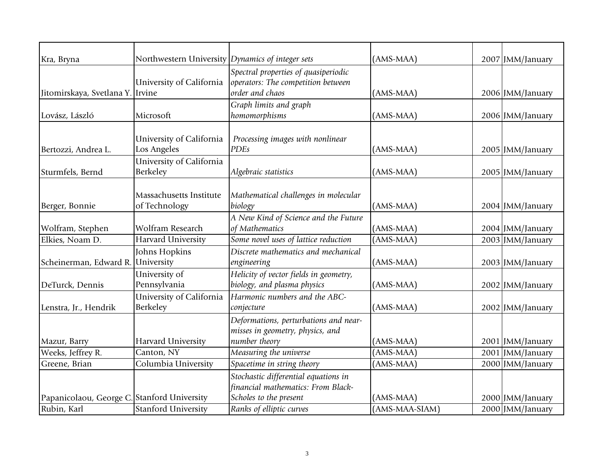| Kra, Bryna                                  | Northwestern University Dynamics of integer sets |                                        | (AMS-MAA)      | 2007 JMM/January |
|---------------------------------------------|--------------------------------------------------|----------------------------------------|----------------|------------------|
|                                             |                                                  | Spectral properties of quasiperiodic   |                |                  |
|                                             | University of California                         | operators: The competition between     |                |                  |
| Jitomirskaya, Svetlana Y. Irvine            |                                                  | order and chaos                        | (AMS-MAA)      | 2006 JMM/January |
|                                             |                                                  | Graph limits and graph                 |                |                  |
| Lovász, László                              | Microsoft                                        | homomorphisms                          | (AMS-MAA)      | 2006 JMM/January |
|                                             |                                                  |                                        |                |                  |
|                                             | University of California                         | Processing images with nonlinear       |                |                  |
| Bertozzi, Andrea L.                         | Los Angeles                                      | <b>PDEs</b>                            | (AMS-MAA)      | 2005 JMM/January |
|                                             | University of California                         |                                        |                |                  |
| Sturmfels, Bernd                            | <b>Berkeley</b>                                  | Algebraic statistics                   | (AMS-MAA)      | 2005 JMM/January |
|                                             |                                                  |                                        |                |                  |
|                                             | Massachusetts Institute                          | Mathematical challenges in molecular   |                |                  |
| Berger, Bonnie                              | of Technology                                    | biology                                | (AMS-MAA)      | 2004 JMM/January |
|                                             |                                                  | A New Kind of Science and the Future   |                |                  |
| Wolfram, Stephen                            | Wolfram Research                                 | of Mathematics                         | (AMS-MAA)      | 2004 JMM/January |
| Elkies, Noam D.                             | Harvard University                               | Some novel uses of lattice reduction   | (AMS-MAA)      | 2003 JMM/January |
|                                             | Johns Hopkins                                    | Discrete mathematics and mechanical    |                |                  |
| Scheinerman, Edward R.                      | University                                       | engineering                            | (AMS-MAA)      | 2003 JMM/January |
|                                             | University of                                    | Helicity of vector fields in geometry, |                |                  |
| DeTurck, Dennis                             | Pennsylvania                                     | biology, and plasma physics            | (AMS-MAA)      | 2002 JMM/January |
|                                             | University of California                         | Harmonic numbers and the ABC-          |                |                  |
| Lenstra, Jr., Hendrik                       | Berkeley                                         | conjecture                             | (AMS-MAA)      | 2002 JMM/January |
|                                             |                                                  | Deformations, perturbations and near-  |                |                  |
|                                             |                                                  | misses in geometry, physics, and       |                |                  |
| Mazur, Barry                                | Harvard University                               | number theory                          | (AMS-MAA)      | 2001 JMM/January |
| Weeks, Jeffrey R.                           | Canton, NY                                       | Measuring the universe                 | (AMS-MAA)      | 2001 JMM/January |
| Greene, Brian                               | Columbia University                              | Spacetime in string theory             | (AMS-MAA)      | 2000 JMM/January |
|                                             |                                                  | Stochastic differential equations in   |                |                  |
|                                             |                                                  | financial mathematics: From Black-     |                |                  |
| Papanicolaou, George C. Stanford University |                                                  | Scholes to the present                 | (AMS-MAA)      | 2000 JMM/January |
| Rubin, Karl                                 | <b>Stanford University</b>                       | Ranks of elliptic curves               | (AMS-MAA-SIAM) | 2000 JMM/January |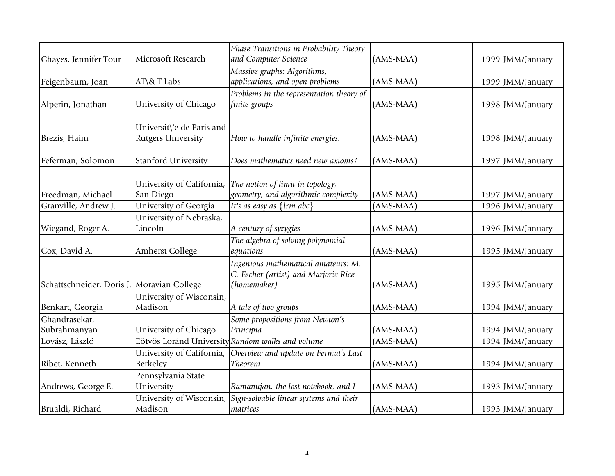|                                            |                            | Phase Transitions in Probability Theory          |             |                  |
|--------------------------------------------|----------------------------|--------------------------------------------------|-------------|------------------|
| Chayes, Jennifer Tour                      | Microsoft Research         | and Computer Science                             | (AMS-MAA)   | 1999 JMM/January |
|                                            |                            | Massive graphs: Algorithms,                      |             |                  |
| Feigenbaum, Joan                           | AT\& T Labs                | applications, and open problems                  | (AMS-MAA)   | 1999 JMM/January |
|                                            |                            | Problems in the representation theory of         |             |                  |
| Alperin, Jonathan                          | University of Chicago      | finite groups                                    | (AMS-MAA)   | 1998 JMM/January |
|                                            |                            |                                                  |             |                  |
|                                            | Universit\'e de Paris and  |                                                  |             |                  |
| Brezis, Haim                               | <b>Rutgers University</b>  | How to handle infinite energies.                 | $(AMS-MAA)$ | 1998 JMM/January |
|                                            |                            |                                                  |             |                  |
| Feferman, Solomon                          | <b>Stanford University</b> | Does mathematics need new axioms?                | (AMS-MAA)   | 1997 JMM/January |
|                                            |                            |                                                  |             |                  |
|                                            | University of California,  | The notion of limit in topology,                 |             |                  |
| Freedman, Michael                          | San Diego                  | geometry, and algorithmic complexity             | (AMS-MAA)   | 1997 JMM/January |
| Granville, Andrew J.                       | University of Georgia      | It's as easy as $\{ \mid rm \ abc \}$            | (AMS-MAA)   | 1996 JMM/January |
|                                            | University of Nebraska,    |                                                  |             |                  |
| Wiegand, Roger A.                          | Lincoln                    | A century of syzygies                            | (AMS-MAA)   | 1996 JMM/January |
|                                            |                            | The algebra of solving polynomial                |             |                  |
| Cox, David A.                              | <b>Amherst College</b>     | equations                                        | (AMS-MAA)   | 1995 JMM/January |
|                                            |                            | Ingenious mathematical amateurs: M.              |             |                  |
|                                            |                            | C. Escher (artist) and Marjorie Rice             |             |                  |
| Schattschneider, Doris J. Moravian College |                            | (homemaker)                                      | (AMS-MAA)   | 1995 JMM/January |
|                                            | University of Wisconsin,   |                                                  |             |                  |
| Benkart, Georgia                           | Madison                    | A tale of two groups                             | (AMS-MAA)   | 1994 JMM/January |
| Chandrasekar,                              |                            | Some propositions from Newton's                  |             |                  |
| Subrahmanyan                               | University of Chicago      | Principia                                        | (AMS-MAA)   | 1994 JMM/January |
| Lovász, László                             |                            | Eötvös Loránd University Random walks and volume | (AMS-MAA)   | 1994 JMM/January |
|                                            | University of California,  | Overview and update on Fermat's Last             |             |                  |
| Ribet, Kenneth                             | <b>Berkeley</b>            | Theorem                                          | (AMS-MAA)   | 1994 JMM/January |
|                                            | Pennsylvania State         |                                                  |             |                  |
| Andrews, George E.                         | University                 | Ramanujan, the lost notebook, and I              | (AMS-MAA)   | 1993 JMM/January |
|                                            | University of Wisconsin,   | Sign-solvable linear systems and their           |             |                  |
| Brualdi, Richard                           | Madison                    | matrices                                         | (AMS-MAA)   | 1993 JMM/January |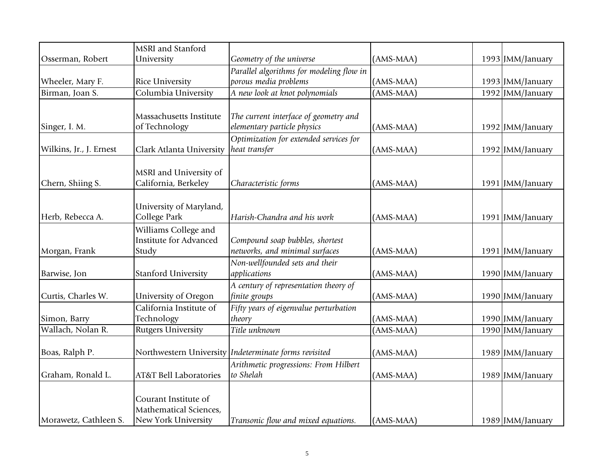|                         | MSRI and Stanford                 |                                                         |             |                  |
|-------------------------|-----------------------------------|---------------------------------------------------------|-------------|------------------|
| Osserman, Robert        | University                        | Geometry of the universe                                | (AMS-MAA)   | 1993 JMM/January |
|                         |                                   | Parallel algorithms for modeling flow in                |             |                  |
| Wheeler, Mary F.        | Rice University                   | porous media problems                                   | (AMS-MAA)   | 1993 JMM/January |
| Birman, Joan S.         | Columbia University               | A new look at knot polynomials                          | (AMS-MAA)   | 1992 JMM/January |
|                         |                                   |                                                         |             |                  |
|                         | Massachusetts Institute           | The current interface of geometry and                   |             |                  |
| Singer, I. M.           | of Technology                     | elementary particle physics                             | (AMS-MAA)   | 1992 JMM/January |
|                         |                                   | Optimization for extended services for                  |             |                  |
| Wilkins, Jr., J. Ernest | Clark Atlanta University          | heat transfer                                           | (AMS-MAA)   | 1992 JMM/January |
|                         |                                   |                                                         |             |                  |
|                         | MSRI and University of            |                                                         |             |                  |
| Chern, Shiing S.        | California, Berkeley              | Characteristic forms                                    | (AMS-MAA)   | 1991 JMM/January |
|                         |                                   |                                                         |             |                  |
|                         | University of Maryland,           |                                                         |             |                  |
| Herb, Rebecca A.        | College Park                      | Harish-Chandra and his work                             | (AMS-MAA)   | 1991 JMM/January |
|                         | Williams College and              |                                                         |             |                  |
|                         | <b>Institute for Advanced</b>     | Compound soap bubbles, shortest                         |             |                  |
| Morgan, Frank           | Study                             | networks, and minimal surfaces                          | (AMS-MAA)   | 1991 JMM/January |
|                         |                                   | Non-wellfounded sets and their                          |             |                  |
| Barwise, Jon            | <b>Stanford University</b>        | applications                                            | (AMS-MAA)   | 1990 JMM/January |
|                         |                                   | A century of representation theory of                   |             |                  |
| Curtis, Charles W.      | University of Oregon              | finite groups                                           | (AMS-MAA)   | 1990 JMM/January |
|                         | California Institute of           | Fifty years of eigenvalue perturbation                  |             |                  |
| Simon, Barry            | Technology                        | theory                                                  | (AMS-MAA)   | 1990 JMM/January |
| Wallach, Nolan R.       | <b>Rutgers University</b>         | Title unknown                                           | (AMS-MAA)   | 1990 JMM/January |
| Boas, Ralph P.          |                                   | Northwestern University   Indeterminate forms revisited | (AMS-MAA)   | 1989 JMM/January |
|                         |                                   | Arithmetic progressions: From Hilbert                   |             |                  |
| Graham, Ronald L.       | <b>AT&amp;T Bell Laboratories</b> | to Shelah                                               | (AMS-MAA)   | 1989 JMM/January |
|                         |                                   |                                                         |             |                  |
|                         | Courant Institute of              |                                                         |             |                  |
|                         | Mathematical Sciences,            |                                                         |             |                  |
| Morawetz, Cathleen S.   | New York University               | Transonic flow and mixed equations.                     | $(AMS-MAA)$ | 1989 JMM/January |